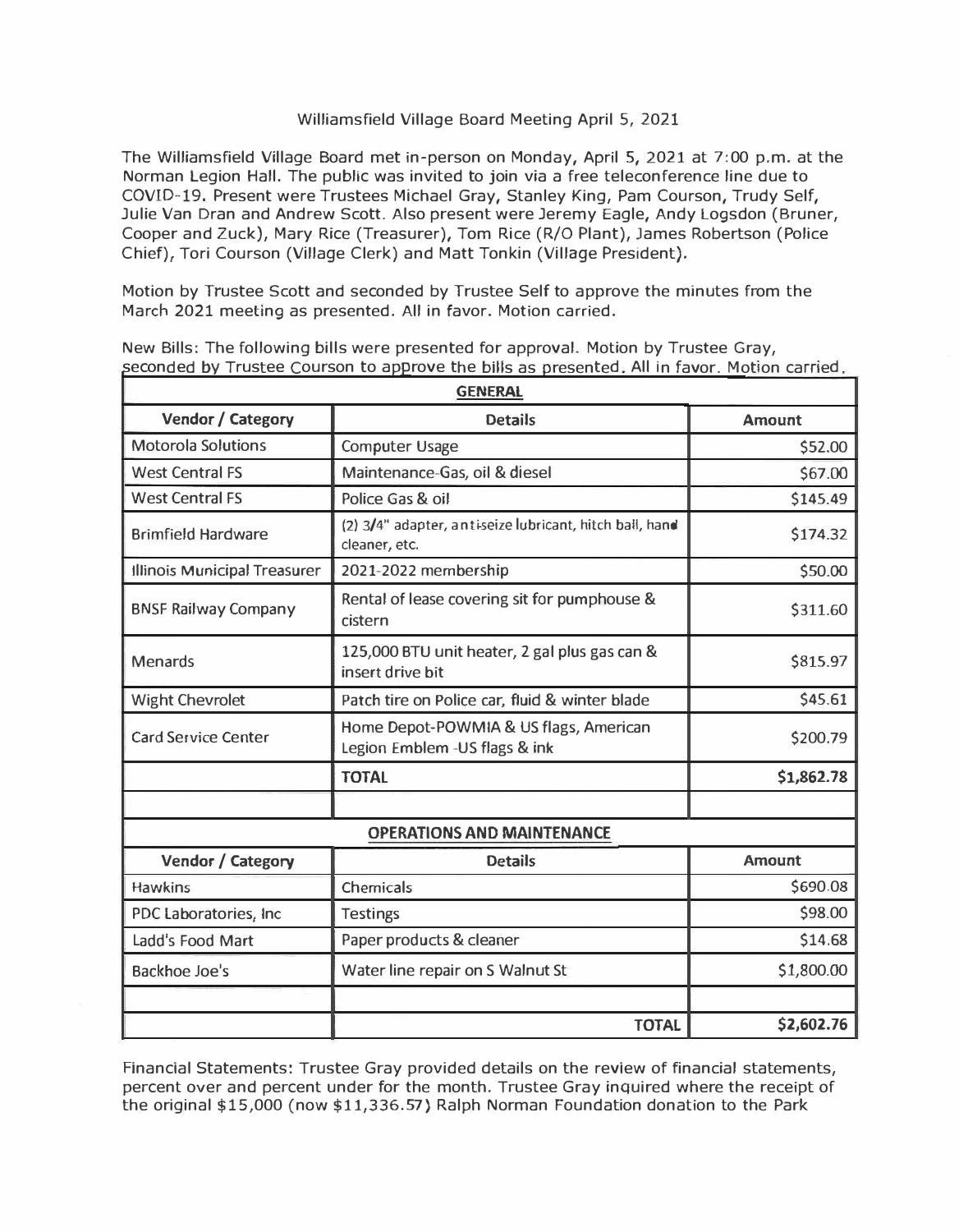## Williamsfield Village Board Meeting April 5, 2021

The Williamsfield Village Board met in-person on Monday, April 5, 2021 at 7:00 p.m. at the Norman Legion Hall. The public was invited to join via a free teleconference line due to COVID-19. Present were Trustees Michael Gray, Stanley King, Pam Courson, Trudy Self, Julie Van Dran and Andrew Scott. Also present were Jeremy Eagle, Andy Logsdon (Bruner, Cooper and Zuck), Mary Rice (Treasurer), Tom Rice (R/0 Plant), James Robertson (Police Chief), Tori Courson (Village Clerk) and Matt Tonkin (Village President).

Motion by Trustee Scott and seconded by Trustee Self to approve the minutes from the March 2021 meeting as presented. All in favor. Motion carried.

| <b>GENERAL</b>                    |                                                                          |               |  |  |
|-----------------------------------|--------------------------------------------------------------------------|---------------|--|--|
| <b>Vendor / Category</b>          | <b>Details</b>                                                           | <b>Amount</b> |  |  |
| <b>Motorola Solutions</b>         | <b>Computer Usage</b>                                                    | \$52.00       |  |  |
| <b>West Central FS</b>            | Maintenance-Gas, oil & diesel                                            | \$67.00       |  |  |
| <b>West Central FS</b>            | Police Gas & oil                                                         | \$145.49      |  |  |
| <b>Brimfield Hardware</b>         | (2) 3/4" adapter, antiseize lubricant, hitch ball, hand<br>cleaner, etc. | \$174.32      |  |  |
| Illinois Municipal Treasurer      | 2021-2022 membership                                                     | \$50.00       |  |  |
| <b>BNSF Railway Company</b>       | Rental of lease covering sit for pumphouse &<br>cistern                  | \$311.60      |  |  |
| <b>Menards</b>                    | 125,000 BTU unit heater, 2 gal plus gas can &<br>insert drive bit        | \$815.97      |  |  |
| <b>Wight Chevrolet</b>            | Patch tire on Police car, fluid & winter blade                           | \$45.61       |  |  |
| <b>Card Service Center</b>        | Home Depot-POWMIA & US flags, American<br>Legion Emblem - US flags & ink | \$200.79      |  |  |
|                                   | <b>TOTAL</b>                                                             | \$1,862.78    |  |  |
|                                   |                                                                          |               |  |  |
| <b>OPERATIONS AND MAINTENANCE</b> |                                                                          |               |  |  |
| Vendor / Category                 | <b>Details</b>                                                           | Amount        |  |  |
| <b>Hawkins</b>                    | Chemicals                                                                | \$690.08      |  |  |
| PDC Laboratories, Inc.            | <b>Testings</b>                                                          | \$98.00       |  |  |
| Ladd's Food Mart                  | Paper products & cleaner                                                 | \$14.68       |  |  |
| <b>Backhoe Joe's</b>              | Water line repair on S Walnut St                                         | \$1,800.00    |  |  |
|                                   | <b>TOTAL</b>                                                             | \$2,602.76    |  |  |

New Bills: The following bills were presented for approval. Motion by Trustee Gray,<br>seconded by Trustee Courson to approve the bills as presented. All in favor. Motion carried,

Financial Statements: Trustee Gray provided details on the review of financial statements, percent over and percent under for the month. Trustee Gray inquired where the receipt of the original \$15,000 (now \$[11,336.57](https://11,336.57)) Ralph Norman Foundation donation to the Park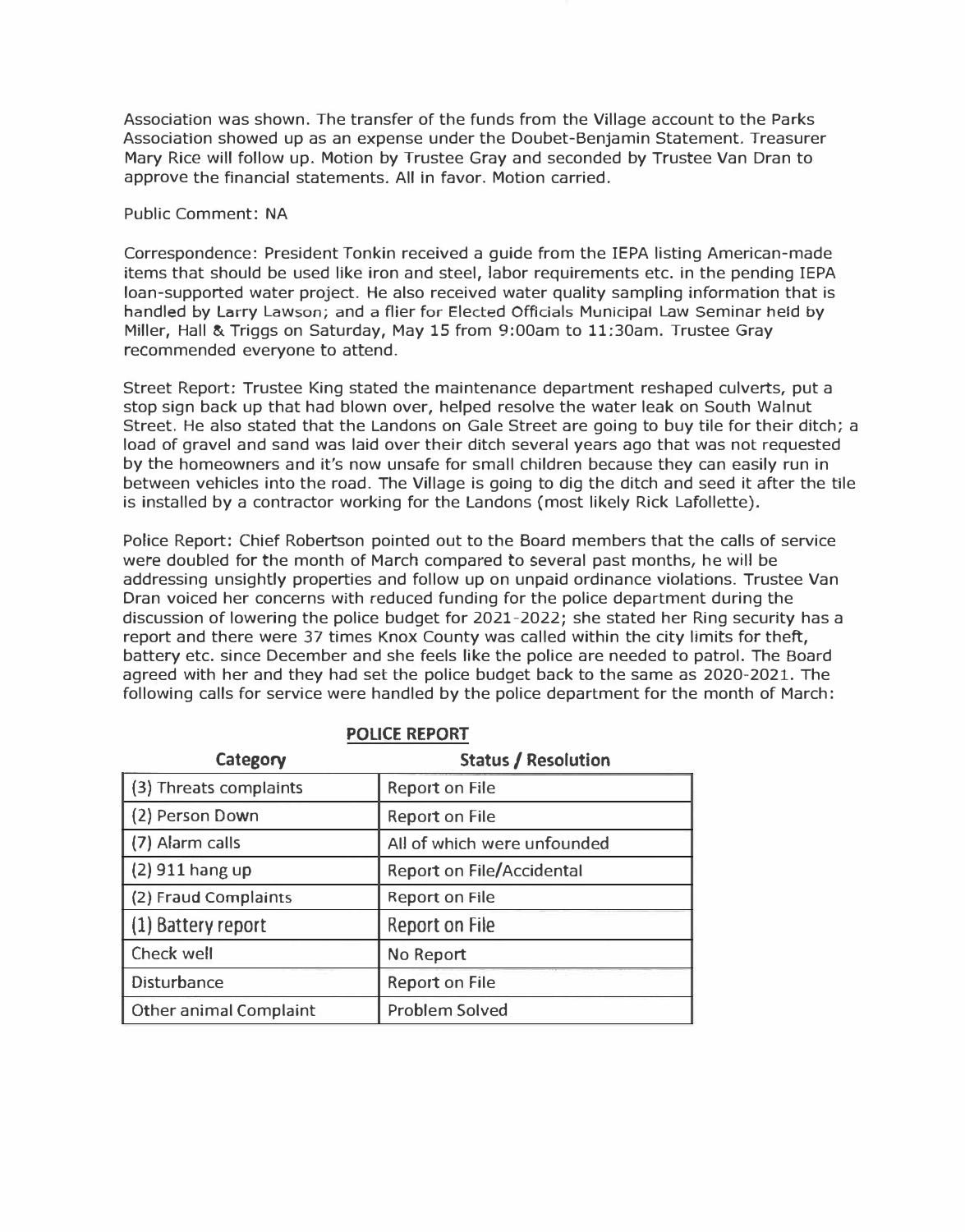Association was shown. The transfer of the funds from the Village account to the Parks Association showed up as an expense under the Doubet-Benjamin Statement. Treasurer Mary Rice will follow up. Motion by Trustee Gray and seconded by Trustee Van Dran to approve the financial statements. All in favor. Motion carried.

## Public Comment: NA

Correspondence: President Tonkin received a guide from the IEPA listing American-made items that should be used like iron and steel, labor requirements etc. in the pending IEPA loan-supported water project. He also received water quality sampling information that is handled by Larry Lawson; and a flier for Elected Officials Municipal Law Seminar held by Miller, Hall & Triggs on Saturday, May 15 from 9:00am to 11:30am. Trustee Gray recommended everyone to attend.

Street Report: Trustee King stated the maintenance department reshaped culverts, put a stop sign back up that had blown over, helped resolve the water leak on South Walnut Street. He also stated that the Landons on Gale Street are going to buy tile for their ditch; a load of gravel and sand was laid over their ditch several years ago that was not requested by the homeowners and it's now unsafe for small children because they can easily run in between vehicles into the road. The Village is going to dig the ditch and seed it after the tile is installed by a contractor working for the Landons (most likely Rick Lafollette).

Police Report: Chief Robertson pointed out to the Board members that the calls of service were doubled for the month of March compared to several past months, he will be addressing unsightly properties and follow up on unpaid ordinance violations. Trustee Van Dran voiced her concerns with reduced funding for the police department during the discussion of lowering the police budget for 2021-2022; she stated her Ring security has a report and there were 37 times Knox County was called within the city limits for theft, battery etc. since December and she feels like the police are needed to patrol. The Board agreed with her and they had set the police budget back to the same as 2020-2021. The following calls for service were handled by the police department for the month of March:

| Category               | <b>Status / Resolution</b>       |
|------------------------|----------------------------------|
| (3) Threats complaints | <b>Report on File</b>            |
| (2) Person Down        | <b>Report on File</b>            |
| (7) Alarm calls        | All of which were unfounded      |
| $(2)$ 911 hang up      | <b>Report on File/Accidental</b> |
| (2) Fraud Complaints   | <b>Report on File</b>            |
| (1) Battery report     | Report on File                   |
| Check well             | No Report                        |
| Disturbance            | <b>Report on File</b>            |
| Other animal Complaint | Problem Solved                   |

# **POLICE REPORT**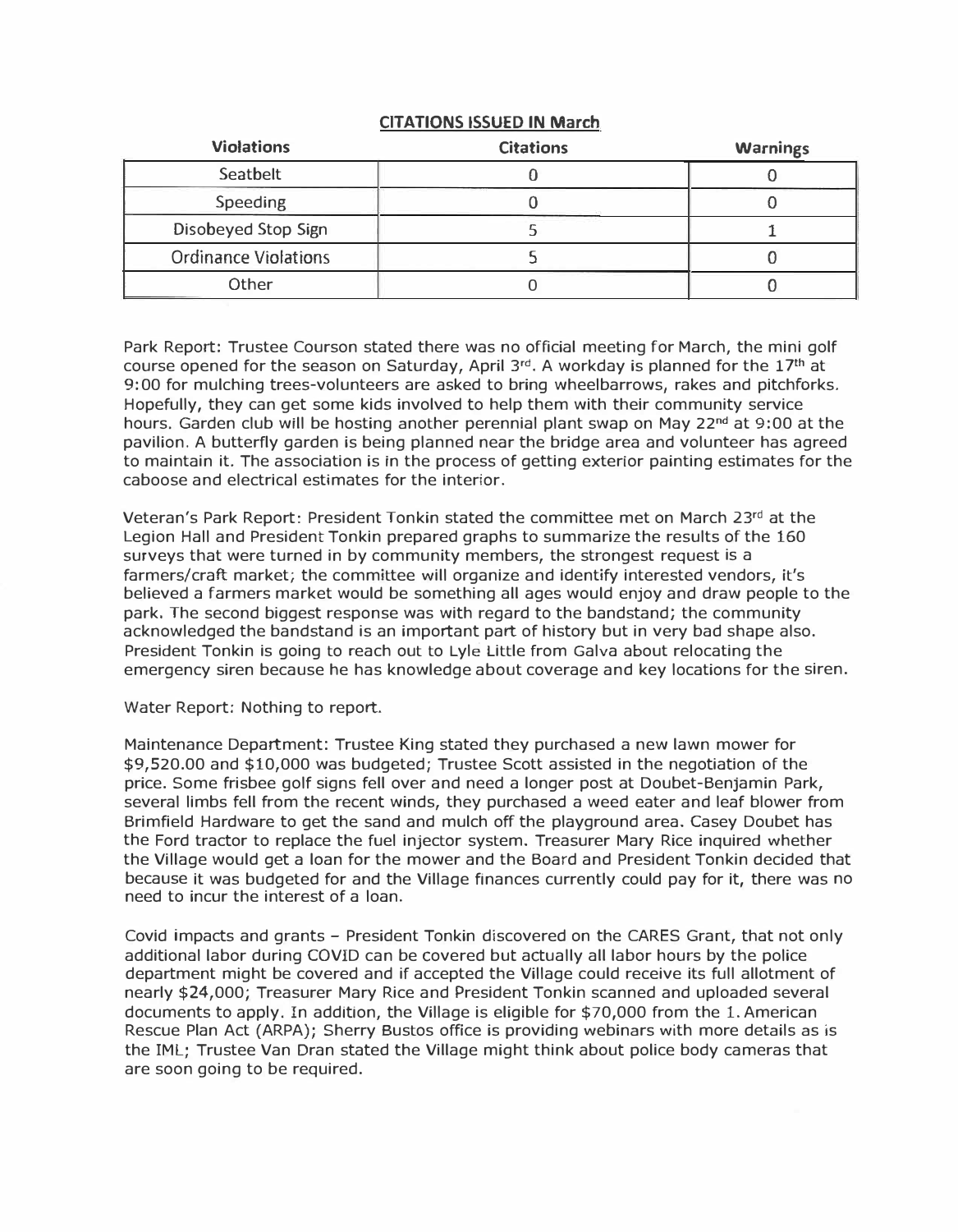# **CITATIONS ISSUED IN March**

| <b>Violations</b>           | <b>Citations</b> | <b>Warnings</b> |
|-----------------------------|------------------|-----------------|
| Seatbelt                    |                  |                 |
| <b>Speeding</b>             |                  |                 |
| Disobeyed Stop Sign         |                  |                 |
| <b>Ordinance Violations</b> |                  |                 |
| Other                       |                  |                 |

Park Report: Trustee Courson stated there was no official meeting for March, the mini golf course opened for the season on Saturday, April  $3^{rd}$ . A workday is planned for the  $17^{th}$  at 9:00 for mulching trees-volunteers are asked to bring wheelbarrows, rakes and pitchforks. Hopefully, they can get some kids involved to help them with their community service hours. Garden club will be hosting another perennial plant swap on May 22**nd** at 9:00 at the pavilion. A butterfly garden is being planned near the bridge area and volunteer has agreed to maintain it. The association is in the process of getting exterior painting estimates for the caboose and electrical estimates for the interior.

Veteran's Park Report: President Tonkin stated the committee met on March 23rd at the Legion Hall and President Tonkin prepared graphs to summarize the results of the 160 surveys that were turned in by community members, the strongest request is a farmers/craft market; the committee will organize and identify interested vendors, it's believed a farmers market would be something all ages would enjoy and draw people to the park. The second biggest response was with regard to the bandstand; the community acknowledged the bandstand is an important part of history but in very bad shape also. President Tonkin is going to reach out to Lyle Little from Galva about relocating the emergency siren because he has knowledge about coverage and key locations for the siren.

### Water Report: Nothing to report.

Maintenance Department: Trustee King stated they purchased a new lawn mower for \$[9,520.00](https://9,520.00) and \$10,000 was budgeted; Trustee Scott assisted in the negotiation of the price. Some frisbee golf signs fell over and need a longer post at Doubet-Benjamin Park, several limbs fell from the recent winds, they purchased a weed eater and leaf blower from Brimfield Hardware to get the sand and mulch off the playground area. Casey Doubet has the Ford tractor to replace the fuel injector system. Treasurer Mary Rice inquired whether the Village would get a loan for the mower and the Board and President Tonkin decided that because it was budgeted for and the Village finances currently could pay for it, there was no need to incur the interest of a loan.

Covid impacts and grants - President Tonkin discovered on the CARES Grant, that not only additional labor during COVID can be covered but actually all labor hours by the police department might be covered and if accepted the Village could receive its full allotment of nearly \$24,000; Treasurer Mary Rice and President Tonkin scanned and uploaded several documents to apply. In addition, the Village is eligible for \$70,000 from the 1. American Rescue Plan Act (ARPA); Sherry Bustos office is providing webinars with more details as is the IML; Trustee Van Oran stated the Village might think about police body cameras that are soon going to be required.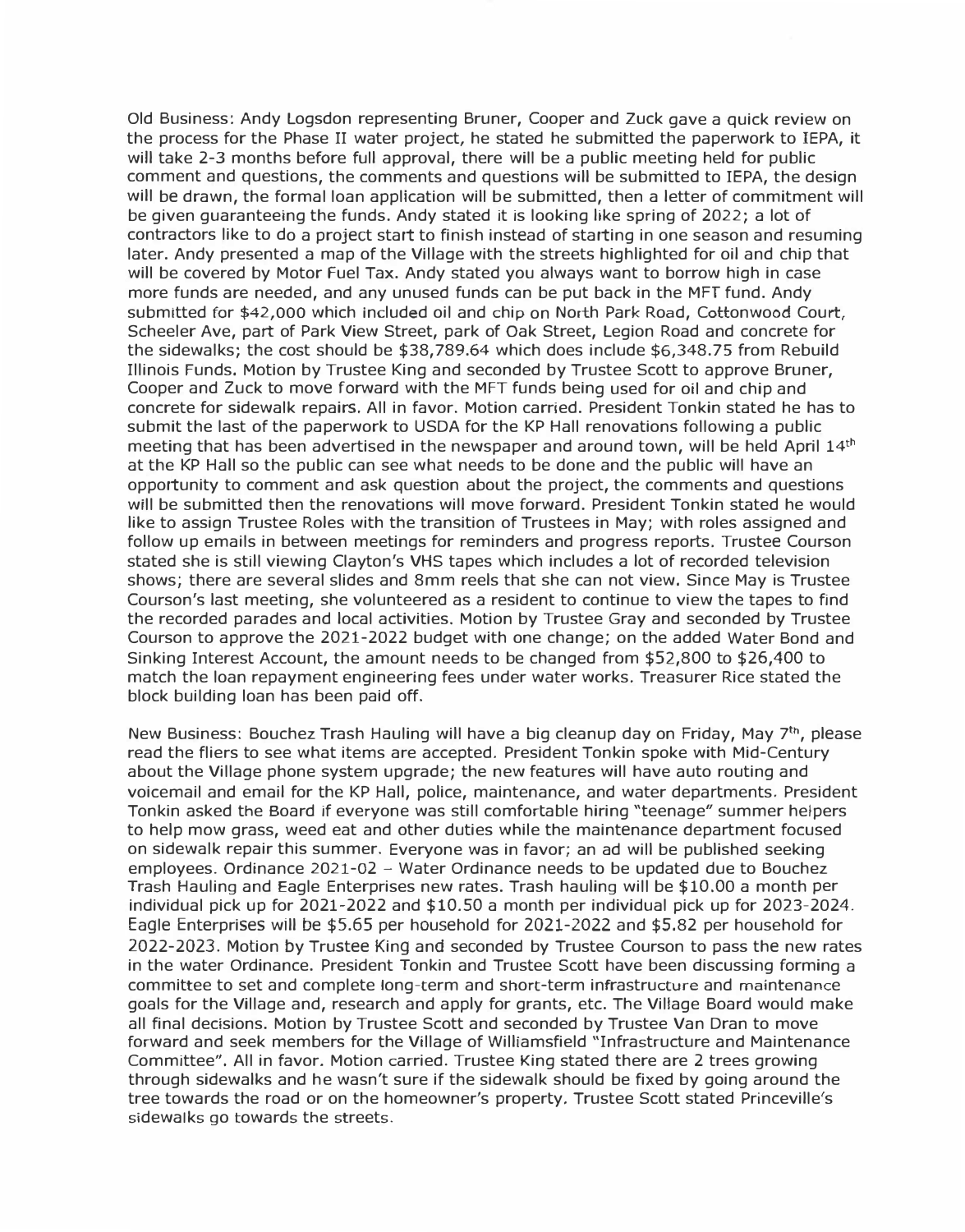Old Business: Andy Logsdon representing Bruner, Cooper and Zuck gave a quick review on the process for the Phase II water project, he stated he submitted the paperwork to IEPA, it will take 2-3 months before full approval, there will be a public meeting held for public comment and questions, the comments and questions will be submitted to IEPA, the design will be drawn, the formal loan application will be submitted, then a letter of commitment will be given guaranteeing the funds. Andy stated it is looking like spring of 2022; a lot of contractors like to do a project start to finish instead of starting in one season and resuming later. Andy presented a map of the Village with the streets highlighted for oil and chip that will be covered by Motor Fuel Tax. Andy stated you always want to borrow high in case more funds are needed, and any unused funds can be put back in the MFT fund. Andy submitted for \$42,000 which included oil and chip on North Park Road, Cottonwood Court, Scheeler Ave, part of Park View Street, park of Oak Street, Legion Road and concrete for the sidewalks; the cost should be \$[38,789.64](https://38,789.64) which does include \$[6,348.75](https://6,348.75) from Rebuild Illinois Funds. Motion by Trustee King and seconded by Trustee Scott to approve Bruner, Cooper and Zuck to move forward with the MFT funds being used for oil and chip and concrete for sidewalk repairs. All in favor. Motion carried. President Tonkin stated he has to submit the last of the paperwork to USDA for the KP Hall renovations following a public meeting that has been advertised in the newspaper and around town, will be held April 14<sup>th</sup> at the KP Hall so the public can see what needs to be done and the public will have an opportunity to comment and ask question about the project, the comments and questions will be submitted then the renovations will move forward. President Tonkin stated he would like to assign Trustee Roles with the transition of Trustees in May; with roles assigned and follow up emails in between meetings for reminders and progress reports. Trustee Courson stated she is still viewing Clayton's VHS tapes which includes a lot of recorded television shows; there are several slides and 8mm reels that she can not view. Since May is Trustee Courson's last meeting, she volunteered as a resident to continue to view the tapes to find the recorded parades and local activities. Motion by Trustee Gray and seconded by Trustee Courson to approve the 2021-2022 budget with one change; on the added Water Bond and Sinking Interest Account, the amount needs to be changed from \$52,800 to \$26,400 to match the loan repayment engineering fees under water works. Treasurer Rice stated the block building loan has been paid off.

New Business: Bouchez Trash Hauling will have a big cleanup day on Friday, May 7th, please read the fliers to see what items are accepted. President Tonkin spoke with Mid-Century about the Village phone system upgrade; the new features will have auto routing and voicemail and email for the KP Hall, police, maintenance, and water departments. President Tonkin asked the Board if everyone was still comfortable hiring "teenage" summer helpers to help mow grass, weed eat and other duties while the maintenance department focused on sidewalk repair this summer. Everyone was in favor; an ad will be published seeking employees. Ordinance 2021-02 - Water Ordinance needs to be updated due to Bouchez Trash Hauling and Eagle Enterprises new rates. Trash hauling will be \$10.00 a month per individual pick up for 2021-2022 and \$10.50 a month per individual pick up for 2023-2024. Eagle Enterprises will be \$5.65 per household for 2021-2022 and \$5.82 per household for 2022-2023. Motion by Trustee King and seconded by Trustee Courson to pass the new rates in the water Ordinance. President Tonkin and Trustee Scott have been discussing forming a committee to set and complete long-term and short-term infrastructure and maintenance goals for the Village and, research and apply for grants, etc. The Village Board would make all final decisions. Motion by Trustee Scott and seconded by Trustee Van Dran to move forward and seek members for the Village of Williamsfield ''Infrastructure and Maintenance Committee". All in favor. Motion carried. Trustee King stated there are 2 trees growing through sidewalks and he wasn't sure if the sidewalk should be fixed by going around the tree towards the road or on the homeowner's property. Trustee Scott stated Princeville's sidewalks go towards the streets.